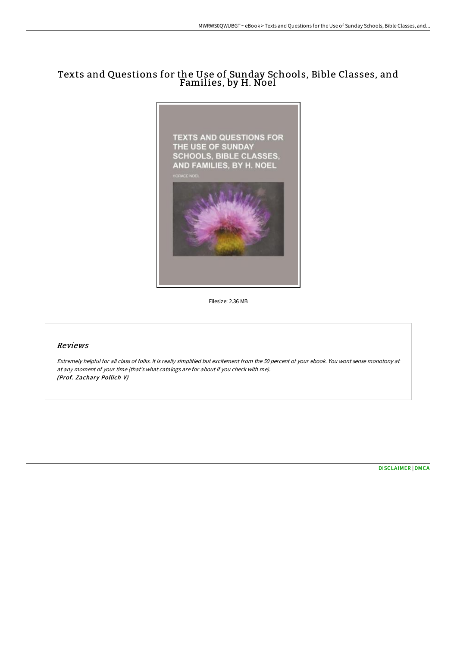## Texts and Questions for the Use of Sunday Schools, Bible Classes, and Families, by H. Noel



Filesize: 2.36 MB

## Reviews

Extremely helpful for all class of folks. It is really simplified but excitement from the 50 percent of your ebook. You wont sense monotony at at any moment of your time (that's what catalogs are for about if you check with me). (Prof. Zachary Pollich V)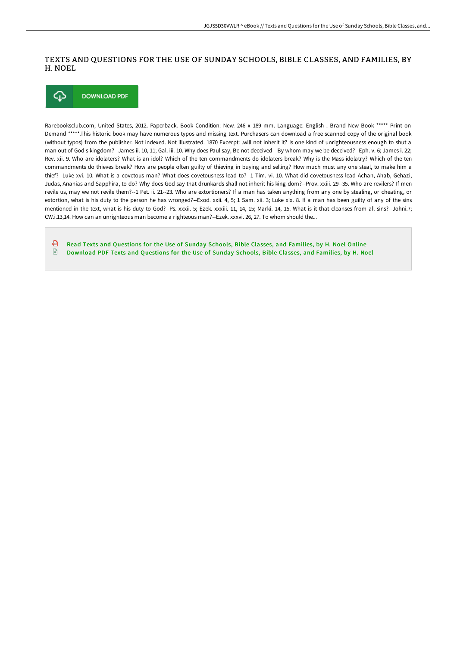## TEXTS AND QUESTIONS FOR THE USE OF SUNDAY SCHOOLS, BIBLE CLASSES, AND FAMILIES, BY H. NOEL



Rarebooksclub.com, United States, 2012. Paperback. Book Condition: New. 246 x 189 mm. Language: English . Brand New Book \*\*\*\*\* Print on Demand \*\*\*\*\*.This historic book may have numerous typos and missing text. Purchasers can download a free scanned copy of the original book (without typos) from the publisher. Not indexed. Not illustrated. 1870 Excerpt: .will not inherit it? Is one kind of unrighteousness enough to shut a man out of God s kingdom?--James ii. 10, 11; Gal. iii. 10. Why does Paul say, Be not deceived --By whom may we be deceived?--Eph. v. 6; James i. 22; Rev. xii. 9. Who are idolaters? What is an idol? Which of the ten commandments do idolaters break? Why is the Mass idolatry? Which of the ten commandments do thieves break? How are people often guilty of thieving in buying and selling? How much must any one steal, to make him a thief?--Luke xvi. 10. What is a covetous man? What does covetousness lead to?--1 Tim. vi. 10. What did covetousness lead Achan, Ahab, Gehazi, Judas, Ananias and Sapphira, to do? Why does God say that drunkards shall not inherit his king-dom?--Prov. xxiii. 29--35. Who are revilers? If men revile us, may we not revile them?--1 Pet. ii. 21--23. Who are extortioners? If a man has taken anything from any one by stealing, or cheating, or extortion, what is his duty to the person he has wronged?--Exod. xxii. 4, 5; 1 Sam. xii. 3; Luke xix. 8. If a man has been guilty of any of the sins mentioned in the text, what is his duty to God?--Ps. xxxii. 5; Ezek. xxxiii. 11, 14, 15; Marki. 14, 15. What is it that cleanses from all sins?--Johni.7; CW.i.13,14. How can an unrighteous man become a righteous man?--Ezek. xxxvi. 26, 27. To whom should the...

கி Read Texts and [Questions](http://techno-pub.tech/texts-and-questions-for-the-use-of-sunday-school.html) for the Use of Sunday Schools, Bible Classes, and Families, by H. Noel Online  $\mathbb{R}$ [Download](http://techno-pub.tech/texts-and-questions-for-the-use-of-sunday-school.html) PDF Texts and Questions for the Use of Sunday Schools, Bible Classes, and Families, by H. Noel